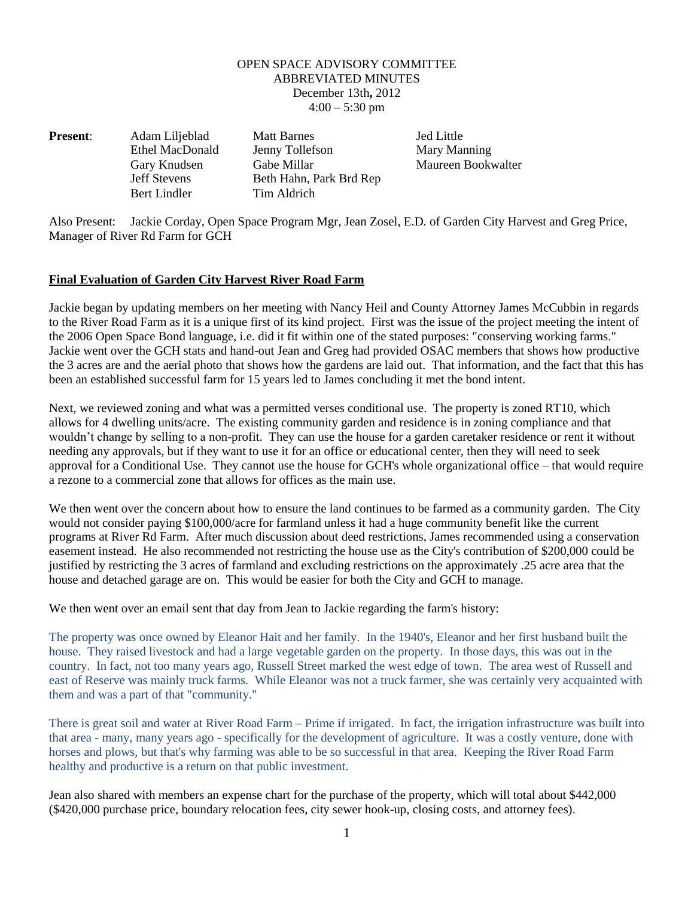## OPEN SPACE ADVISORY COMMITTEE ABBREVIATED MINUTES December 13th**,** 2012  $4:00 - 5:30$  pm

| <b>Present:</b> | Adam Liljeblad      | <b>Matt Barnes</b>      | <b>Jed Little</b> |
|-----------------|---------------------|-------------------------|-------------------|
|                 | Ethel MacDonald     | Jenny Tollefson         | Mary Ma           |
|                 | Gary Knudsen        | Gabe Millar             | Maureen           |
|                 | <b>Jeff Stevens</b> | Beth Hahn, Park Brd Rep |                   |
|                 | Bert Lindler        | Tim Aldrich             |                   |

Mary Manning Maureen Bookwalter

Also Present: Jackie Corday, Open Space Program Mgr, Jean Zosel, E.D. of Garden City Harvest and Greg Price, Manager of River Rd Farm for GCH

## **Final Evaluation of Garden City Harvest River Road Farm**

Jackie began by updating members on her meeting with Nancy Heil and County Attorney James McCubbin in regards to the River Road Farm as it is a unique first of its kind project. First was the issue of the project meeting the intent of the 2006 Open Space Bond language, i.e. did it fit within one of the stated purposes: "conserving working farms." Jackie went over the GCH stats and hand-out Jean and Greg had provided OSAC members that shows how productive the 3 acres are and the aerial photo that shows how the gardens are laid out. That information, and the fact that this has been an established successful farm for 15 years led to James concluding it met the bond intent.

Next, we reviewed zoning and what was a permitted verses conditional use. The property is zoned RT10, which allows for 4 dwelling units/acre. The existing community garden and residence is in zoning compliance and that wouldn't change by selling to a non-profit. They can use the house for a garden caretaker residence or rent it without needing any approvals, but if they want to use it for an office or educational center, then they will need to seek approval for a Conditional Use. They cannot use the house for GCH's whole organizational office – that would require a rezone to a commercial zone that allows for offices as the main use.

We then went over the concern about how to ensure the land continues to be farmed as a community garden. The City would not consider paying \$100,000/acre for farmland unless it had a huge community benefit like the current programs at River Rd Farm. After much discussion about deed restrictions, James recommended using a conservation easement instead. He also recommended not restricting the house use as the City's contribution of \$200,000 could be justified by restricting the 3 acres of farmland and excluding restrictions on the approximately .25 acre area that the house and detached garage are on. This would be easier for both the City and GCH to manage.

We then went over an email sent that day from Jean to Jackie regarding the farm's history:

The property was once owned by Eleanor Hait and her family. In the 1940's, Eleanor and her first husband built the house. They raised livestock and had a large vegetable garden on the property. In those days, this was out in the country. In fact, not too many years ago, Russell Street marked the west edge of town. The area west of Russell and east of Reserve was mainly truck farms. While Eleanor was not a truck farmer, she was certainly very acquainted with them and was a part of that "community."

There is great soil and water at River Road Farm – Prime if irrigated. In fact, the irrigation infrastructure was built into that area - many, many years ago - specifically for the development of agriculture. It was a costly venture, done with horses and plows, but that's why farming was able to be so successful in that area. Keeping the River Road Farm healthy and productive is a return on that public investment.

Jean also shared with members an expense chart for the purchase of the property, which will total about \$442,000 (\$420,000 purchase price, boundary relocation fees, city sewer hook-up, closing costs, and attorney fees).